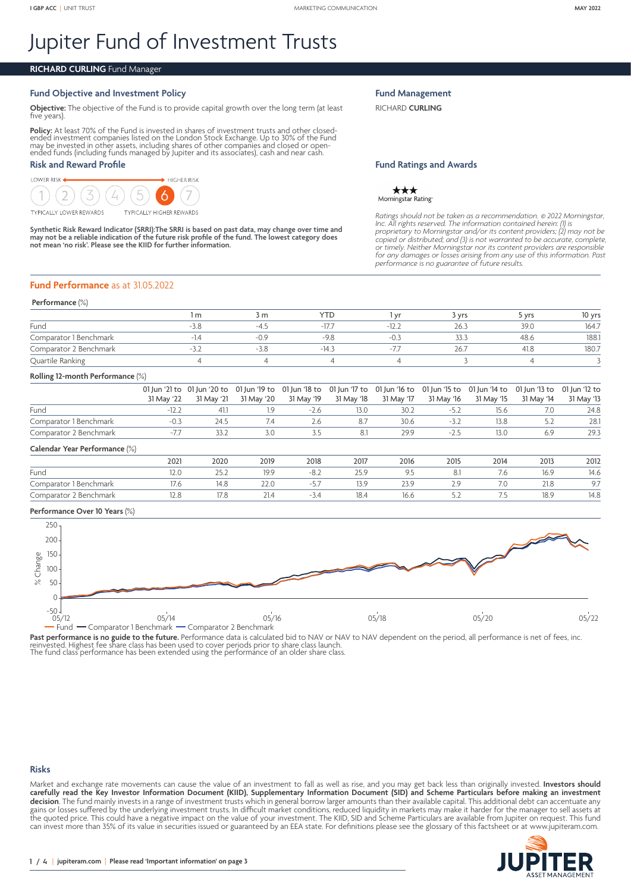# Jupiter Fund of Investment Trusts

# **RICHARD CURLING** Fund Manager

# **Fund Objective and Investment Policy**

**Objective:** The objective of the Fund is to provide capital growth over the long term (at least five years).

**Policy:** At least 70% of the Fund is invested in shares of investment trusts and other closed-<br>ended investment companies listed on the London Stock Exchange. Up to 30% of the Fund<br>may be invested in other assets, includi ended funds (including funds managed by Jupiter and its associates), cash and near cash.

## **Risk and Reward Profile**

**TYPICALLY LOWER REWARDS** 

LOWER RISK



**Synthetic Risk Reward Indicator (SRRI):The SRRI is based on past data, may change over time and may not be a reliable indication of the future risk profile of the fund. The lowest category does not mean 'no risk'. Please see the KIID for further information.**

#### **Fund Management**

RICHARD **CURLING**

#### **Fund Ratings and Awards**

★★★ Morningstar Rating-

*Ratings should not be taken as a recommendation.* © *2022 Morningstar, Inc. All rights reserved. The information contained herein: (1) is proprietary to Morningstar and/or its content providers; (2) may not be*  copied or distributed; and (3) is not warranted to be accurate, complete,<br>or timely. Neither Morningstar nor its content providers are responsible<br>for any damages or losses arising from any use of this information. Past<br>pe

#### **Fund Performance** as at 31.05.2022

#### **Performance** (%)

|                        | m נ    | YTI    | Vf   | vrs  | · vrs | 10 vrs |
|------------------------|--------|--------|------|------|-------|--------|
| Fund                   | -4 '   | $-17.$ | -12. | 26.3 | 39.0  | 164.7  |
| Comparator 1 Benchmark | $-0.9$ |        |      | 33.3 | 48.6  | 188.1  |
| Comparator 2 Benchmark | $-3.8$ | $-14.$ |      | 26.7 |       | 180.7  |
| Quartile Ranking       |        |        |      |      |       |        |

#### **Rolling 12-month Performance** (%)

|                               |            | ----                                                                                                                                                      | - - - -    | -----      | - - - - -  | ----       | -----      | - - - -    | - - - - -  |            |
|-------------------------------|------------|-----------------------------------------------------------------------------------------------------------------------------------------------------------|------------|------------|------------|------------|------------|------------|------------|------------|
| Calendar Year Performance (%) |            |                                                                                                                                                           |            |            |            |            |            |            |            |            |
| Comparator 2 Benchmark        |            | 33.2                                                                                                                                                      | 3.0        | -3.5       | 8.1        | 29.9       | $-2.5$     | 13.0       | 6.9        | 29.3       |
| Comparator 1 Benchmark        | $-0.3$     | 24.5                                                                                                                                                      | 7.4        | 2.6        | 8.7        | 30.6       | $-3.2$     | 13.8       |            | 28.1       |
| Fund                          | $-12.2$    | 41.1                                                                                                                                                      |            | $-2.6$     | 13.0       | 30.2       | $-5.2$     | 15.6       | 7.0        | 24.8       |
|                               | 31 May '22 | 01 Jun '21 to 01 Jun '20 to 01 Jun '19 to 01 Jun '18 to 01 Jun '17 to 01 Jun '16 to 01 Jun '15 to 01 Jun '14 to 01 Jun '13 to 01 Jun '12 to<br>31 May '21 | 31 May '20 | 31 May '19 | 31 May '18 | 31 May '17 | 31 May '16 | 31 May '15 | 31 May '14 | 31 May '13 |

|                        | 2021 | 2020 | 2019         | 2018     | 2017 | 2016     | 2015     | 2014      | 2013 | 2012 |
|------------------------|------|------|--------------|----------|------|----------|----------|-----------|------|------|
| Fund                   | 12.U |      |              | -8.∠     |      |          | 8.I      | ٥./       | 16.9 | 14.6 |
| Comparator 1 Benchmark |      |      | ZZ.U         | ، ب      |      | <u>.</u> | $\sim$   | 7.0       | 21.8 | 7.1  |
| Comparator 2 Benchmark |      |      | $\angle$ 1.4 | <u>.</u> | 18.4 | 16.6     | <u>.</u> | $\cdot\,$ | 18.9 | 14.8 |

#### **Performance Over 10 Years** (%)



**Past performance is no guide to the future.** Performance data is calculated bid to NAV or NAV to NAV dependent on the period, all performance is net of fees, inc.<br>reinvested. Highest fee share class has been used to cover

#### **Risks**

Market and exchange rate movements can cause the value of an investment to fall as well as rise, and you may get back less than originally invested. **Investors should carefully read the Key Investor Information Document (KIID), Supplementary Information Document (SID) and Scheme Particulars before making an investment decision**. The fund mainly invests in a range of investment trusts which in general borrow larger amounts than their available capital. This additional debt can accentuate any gains or losses suffered by the underlying investment trusts. In difficult market conditions, reduced liquidity in markets may make it harder for the manager to sell assets at the quoted price. This could have a negative impact on the value of your investment. The KIID, SID and Scheme Particulars are available from Jupiter on request. This fund can invest more than 35% of its value in securities issued or guaranteed by an EEA state. For definitions please see the glossary of this factsheet or at <www.jupiteram.com>.

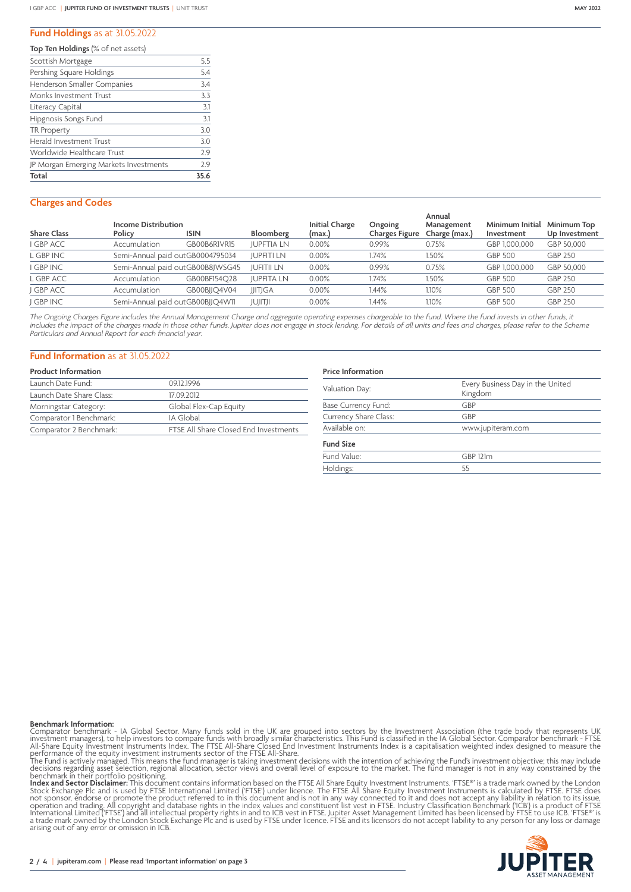#### **Fund Holdings** as at 31.05.2022

**Top Ten Holdings** (% of net assets)

| Scottish Mortgage                      | 5.5  |
|----------------------------------------|------|
| Pershing Square Holdings               | 5.4  |
| Henderson Smaller Companies            | 3.4  |
| Monks Investment Trust                 | 3.3  |
| Literacy Capital                       | 3.1  |
| Hipgnosis Songs Fund                   | 3.1  |
| TR Property                            | 3.0  |
| <b>Herald Investment Trust</b>         | 3.0  |
| Worldwide Healthcare Trust             | 79   |
| JP Morgan Emerging Markets Investments | 29   |
| Total                                  | 35.6 |

# **Charges and Codes**

| <b>Share Class</b> | <b>Income Distribution</b><br>Policy | <b>ISIN</b>                      | Bloomberg         | <b>Initial Charge</b><br>(max.) | Ongoing<br>Charges Figure | Annual<br>Management<br>Charge (max.) | Minimum Initial<br>Investment | Minimum Top<br>Up Investment |
|--------------------|--------------------------------------|----------------------------------|-------------------|---------------------------------|---------------------------|---------------------------------------|-------------------------------|------------------------------|
| I GBP ACC          | Accumulation                         | GB00B6R1VR15                     | <b>JUPFTIA LN</b> | $0.00\%$                        | 0.99%                     | 0.75%                                 | GBP 1,000,000                 | GBP 50.000                   |
| L GBP INC          |                                      | Semi-Annual paid outGB0004795034 | <b>JUPFITI LN</b> | 0.00%                           | .74%                      | 1.50%                                 | <b>GBP 500</b>                | GBP 250                      |
| I GBP INC          |                                      | Semi-Annual paid outGB00B8JWSG45 | <b>JUFITII LN</b> | 0.00%                           | 0.99%                     | 0.75%                                 | GBP 1,000,000                 | GBP 50.000                   |
| L GBP ACC          | Accumulation                         | GB00BF154O28                     | <b>JUPFITA LN</b> | 0.00%                           | 1.74%                     | 1.50%                                 | <b>GBP 500</b>                | <b>GBP 250</b>               |
| J GBP ACC          | Accumulation                         | GB00BIIO4V04                     | <b>JJITJGA</b>    | 0.00%                           | 1.44%                     | 1.10%                                 | GBP 500                       | GBP 250                      |
| I GBP INC          |                                      | Semi-Annual paid outGB00BJJQ4W11 | JUJITJI           | 0.00%                           | l.44%                     | 1.10%                                 | GBP 500                       | GBP 250                      |

The Ongoing Charges Figure includes the Annual Management Charge and aggregate operating expenses chargeable to the fund. Where the fund invests in other funds, it *includes the impact of the charges made in those other funds. Jupiter does not engage in stock lending. For details of all units and fees and charges, please refer to the Scheme Particulars and Annual Report for each financial year.*

### **Fund Information** as at 31.05.2022

| <b>Product Information</b> |                                       |
|----------------------------|---------------------------------------|
| Launch Date Fund:          | 09.12.1996                            |
| Launch Date Share Class:   | 17092012                              |
| Morningstar Category:      | Global Flex-Cap Equity                |
| Comparator 1 Benchmark:    | IA Global                             |
| Comparator 2 Benchmark:    | FTSE All Share Closed End Investments |

# **Price Information**

| Every Business Day in the United<br>Kingdom |
|---------------------------------------------|
| GBP                                         |
| GBP                                         |
| www.jupiteram.com                           |
|                                             |
| <b>GBP 121m</b>                             |
| 55                                          |
|                                             |

**Benchmark Information:**<br>Comparator benchmark - IA Global Sector. Many funds sold in the UK are grouped into sectors by the Investment Association (the trade body that represents UK<br>Investment Imagers), to help investors t arising out of any error or omission in ICB.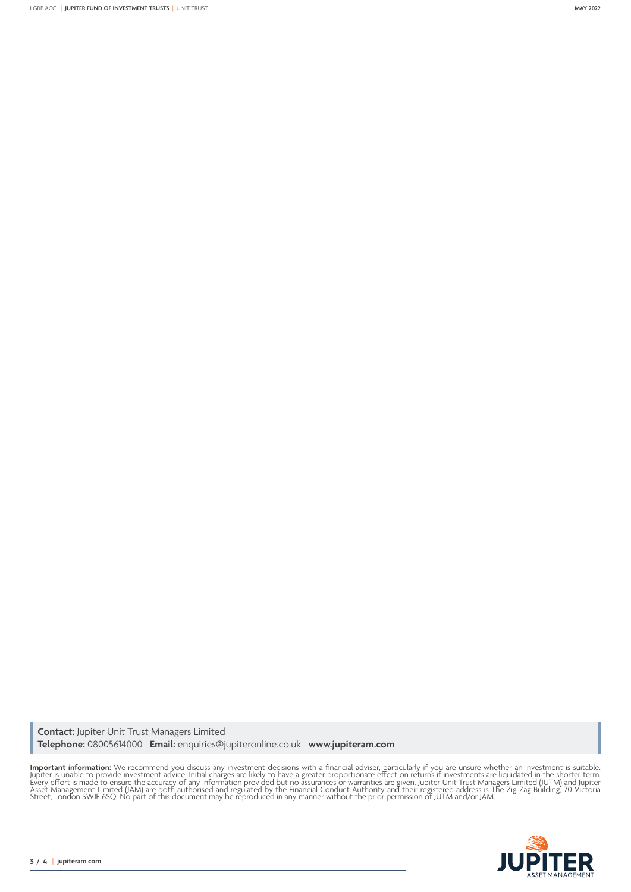**Contact:** Jupiter Unit Trust Managers Limited **Telephone:** 08005614000 **Email:** enquiries@jupiteronline.co.uk **www.jupiteram.com**

**Important information:** We recommend you discuss any investment decisions with a financial adviser, particularly if you are unsure whether an investment is suitable.<br>Jupiter is unable to provide investment advice. Initial